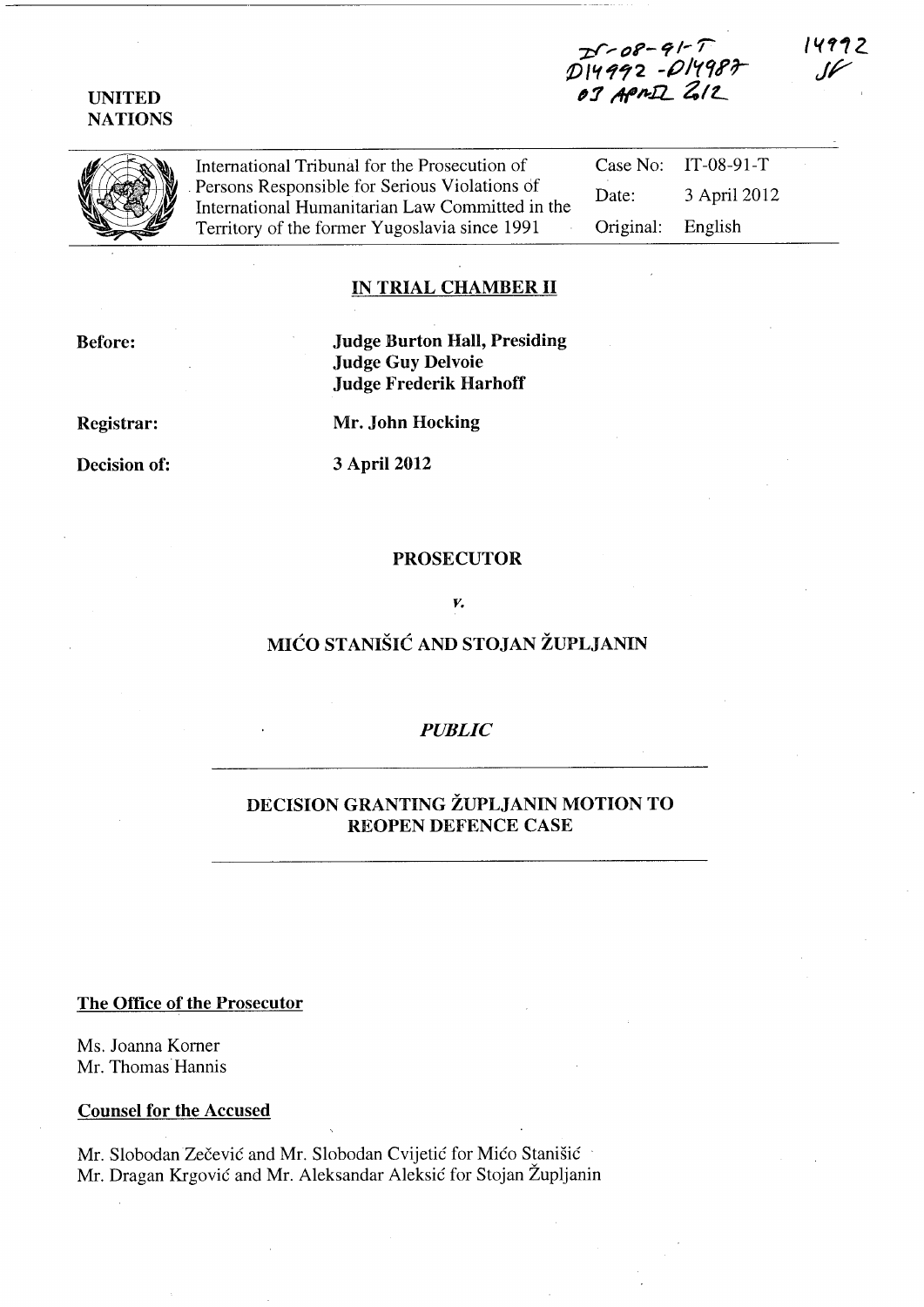# **UNITED NATIONS**

**-z;I'> 01'-** <sup>~</sup>**/-***r*  D14992 -D1498F *,:J t'/(I/l-IL* **41** *L* 



International Tribunal for the Prosecution of Case No: IT-08-91-T . Persons Responsible for Serious Violations df International Humanitarian Law Committed in the Territory of the former Yugoslavia since 1991 Date: 3 April 2012 Original: English

# **IN TRIAL CHAMBER 11**

**Before:** 

**Judge Burton Hall, Presiding Judge Guy Delvoie Judge Frederik Harhoff** 

**Registrar:** 

**Mr. John Hocking** 

**Decision of:** 

**3** April 2012

#### **PROSECUTOR**

## *v.*

# **MICO STANISIC AND STOJAN ZUPLJANIN**

# *PUBLIC*

# **DECISION GRANTING ZUPLJANIN MOTION TO REOPEN DEFENCE CASE**

#### **The Office of the Prosecutor**

Ms. Joanna Korner Mr. Thomas Hannis

## **Counsel for the Accused**

Mr. Slobodan Zečević and Mr. Slobodan Cvijetić for Mićo Stanišić Mr. Dragan Krgovic and Mr. Aleksandar Aleksic for Stojan Zupljanin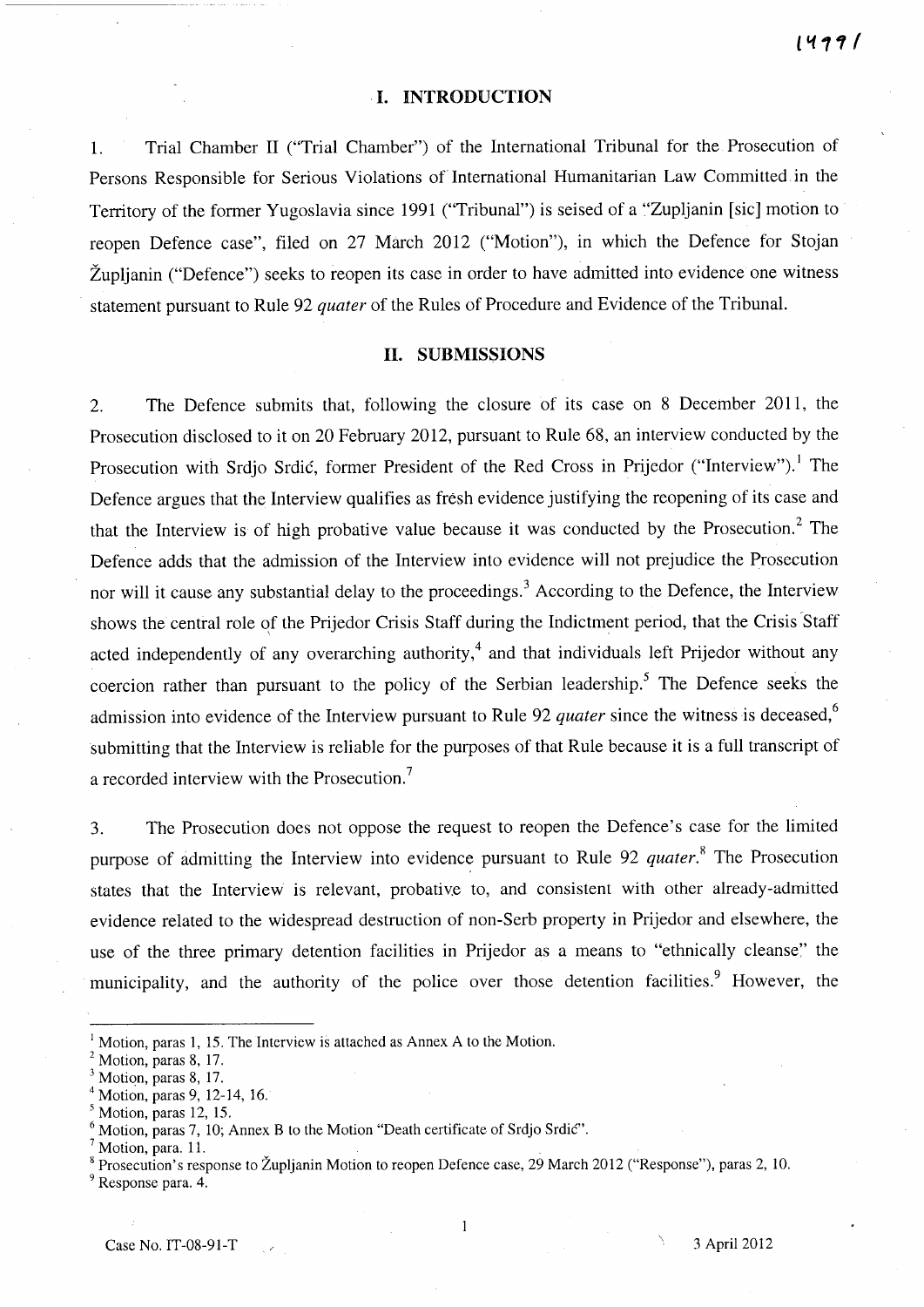#### **I. INTRODUCTION**

1. Trial Chamber 11 ("Trial Chamber") of the International Tribunal for the Prosecution of Persons Responsible for Serious Violations of International Humanitarian Law Committed in the Territory of the former Yugoslavia since 1991 ("Tribunal") is seised of a "Zupljanin [sic] motion to reopen Defence case", filed on 27 March 2012 ("Motion"), in which the Defence for Stojan Župljanin ("Defence") seeks to reopen its case in order to have admitted into evidence one witness statement pursuant to Rule 92 *quater* of the Rules of Procedure and Evidence of the Tribunal.

## **11. SUBMISSIONS**

2. The Defence submits that, following the closure of its case on 8 December 2011, the Prosecution disclosed to it on 20 February 2012, pursuant to Rule 68, an interview conducted by the Prosecution with Srdjo Srdić, former President of the Red Cross in Prijedor ("Interview").<sup>1</sup> The Defence argues that the Interview qualifies as fresh evidence justifying the reopening of its case and that the Interview is of high probative value because it was conducted by the Prosecution.<sup>2</sup> The Defence adds that the admission of the Interview into evidence will not prejudice the Prosecution nor will it cause any substantial delay to the proceedings.<sup>3</sup> According to the Defence, the Interview shows the central role of the Prijedor Crisis Staff during the Indictment period, that the Crisis Staff acted independently of any overarching authority,<sup>4</sup> and that individuals left Prijedor without any coercion rather than pursuant to the policy of the Serbian leadership.<sup>5</sup> The Defence seeks the admission into evidence of the Interview pursuant to Rule 92 *quater* since the witness is deceased,<sup>6</sup> submitting that the Interview is reliable for the purposes of that Rule because it is a full transcript of a recorded interview with the Prosecution.<sup>7</sup>

3. The Prosecution does not oppose the request to reopen the Defence's case for the limited purpose of admitting the Interview into evidence pursuant to Rule 92 *quater*.<sup>8</sup> The Prosecution states that the Interview is relevant, probative to, and consistent with other already-admitted evidence related to the widespread destruction of non-Serb property in Prijedor and elsewhere, the use of the three primary detention facilities in Prijedor as a means to "ethnically cleanse" the municipality, and the authority of the police over those detention facilities.<sup>9</sup> However, the

 $\mathbf{1}$ 

 $<sup>1</sup>$  Motion, paras 1, 15. The Interview is attached as Annex A to the Motion.</sup>

<sup>&</sup>lt;sup>2</sup> Motion, paras 8, 17.

 $3$  Motion, paras 8, 17.

 $4$  Motion, paras 9, 12-14, 16.

 $<sup>5</sup>$  Motion, paras 12, 15.</sup>

<sup>&</sup>lt;sup>6</sup> Motion, paras 7, 10; Annex B to the Motion "Death certificate of Srdjo Srdic".

 $<sup>7</sup>$  Motion, para. 11.</sup>

<sup>&</sup>lt;sup>8</sup> Prosecution's response to Župljanin Motion to reopen Defence case, 29 March 2012 ("Response"), paras 2, 10.

<sup>&</sup>lt;sup>9</sup> Response para. 4.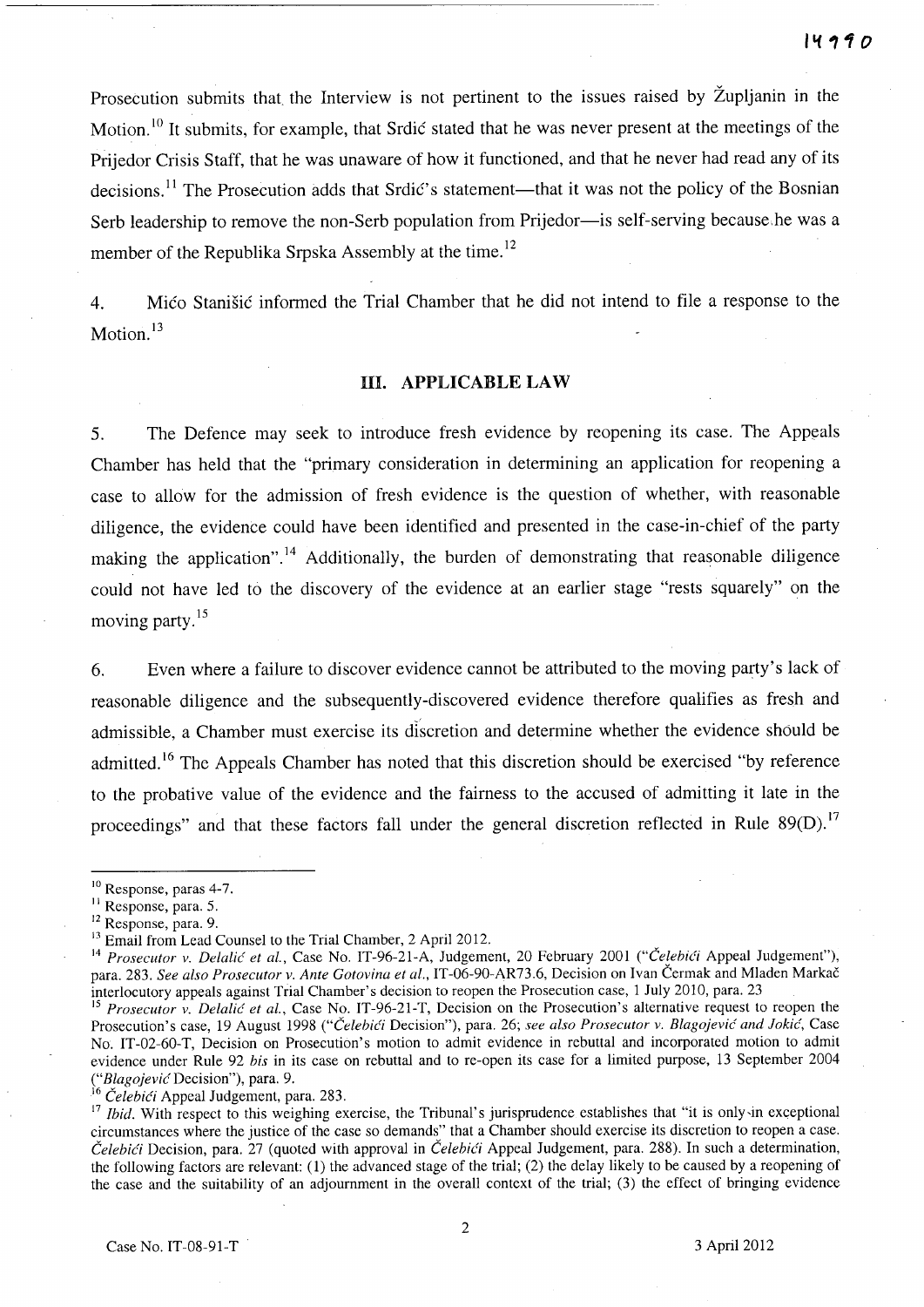Prosecution submits that the Interview is not pertinent to the issues raised by Zupljanin in the Motion. <sup>10</sup> It submits, for example, that Srdic stated that he was never present at the meetings of the Prijedor Crisis Staff, that he was unaware of how it functioned, and that he never had read any of its decisions.<sup>11</sup> The Prosecution adds that Srdic's statement—that it was not the policy of the Bosnian Serb leadership to remove the non-Serb population from Prijedor--- is self-serving because, he was a member of the Republika Srpska Assembly at the time.<sup>12</sup>

4. Mico Stanisic informed the Trial Chamber that he did not intend to file a response to the Motion.<sup>13</sup>

# **In. APPLICABLE LAW**

5. The Defence may seek to introduce fresh evidence by reopening its case. The Appeals Chamber has held that the "primary consideration in determining an application for reopening a case to allow for the admission of fresh evidence is the question of whether, with reasonable diligence, the evidence could have been identified and presented in the case-in-chief of the party making the application".<sup>14</sup> Additionally, the burden of demonstrating that reasonable diligence could not have led to the discovery of the evidence at an earlier stage "rests squarely" on the moving party.<sup>15</sup>

6. Even where a failure to discover evidence cannot be attributed to the moving party's lack of reasonable diligence and the subsequently-discovered evidence therefore qualifies as fresh and admissible, a Chamber must exercise its discretion and determine whether the evidence should be admitted.<sup>16</sup> The Appeals Chamber has noted that this discretion should be exercised "by reference" to the probative value of the evidence and the fairness to the accused of admitting it late in the proceedings" and that these factors fall under the general discretion reflected in Rule 89(D).<sup>17</sup>

<sup>16</sup> Čelebići Appeal Judgement, para. 283.

<sup>&</sup>lt;sup>10</sup> Response, paras 4-7.

<sup>&</sup>lt;sup>11</sup> Response, para. 5.

<sup>12</sup> Response, para. 9.

 $13$  Email from Lead Counsel to the Trial Chamber, 2 April 2012.

<sup>14</sup>*Prosecutor v. Delalic et aI.,* Case No. IT-96-21-A, Judgement, 20 February 2001 *("Celehi6* Appeal Judgement"), para. 283. *See also Prosecutor v. Ante Gotovina et al.,* IT-06-90-AR73.6, Decision on Ivan Cermak and Mladen Markac interlocutory appeals against Trial Chamber's decision to reopen the Prosecution case, 1 July 2010, para. 23

<sup>15</sup>*Prosecutor v. Delalic et aI.,* Case No. IT-96-21-T, Decision on the Prosecution's alternative request to reopen the Prosecution's case, 19 August 1998 *("Čelebići Decision")*, para. 26; *see also Prosecutor v. Blagojević and Jokić*, Case No. IT-02-60-T, Decision on Prosecution's motion to admit evidence in rebuttal and incorporated motion to admit evidence under Rule 92 *bis* in its case on rebuttal and to re-open its case for a limited purpose, 13 September 2004 *("Blagojevic* Decision"), para. 9.

<sup>&</sup>lt;sup>17</sup> Ibid. With respect to this weighing exercise, the Tribunal's jurisprudence establishes that "it is only in exceptional circumstances where the justice of the case so demands" that a Chamber should exercise its discretion to reopen a case. *CelebiCi* Decision, para. 27 (quoted with approval in *CelehiCi* Appeal Judgement, para. 288). In such a determination, the following factors are relevant: (1) the advanced stage of the trial; (2) the delay likely to be caused by a reopening of the case and the suitability of an adjournment in the overall context of the trial; (3) the effect of bringing evidence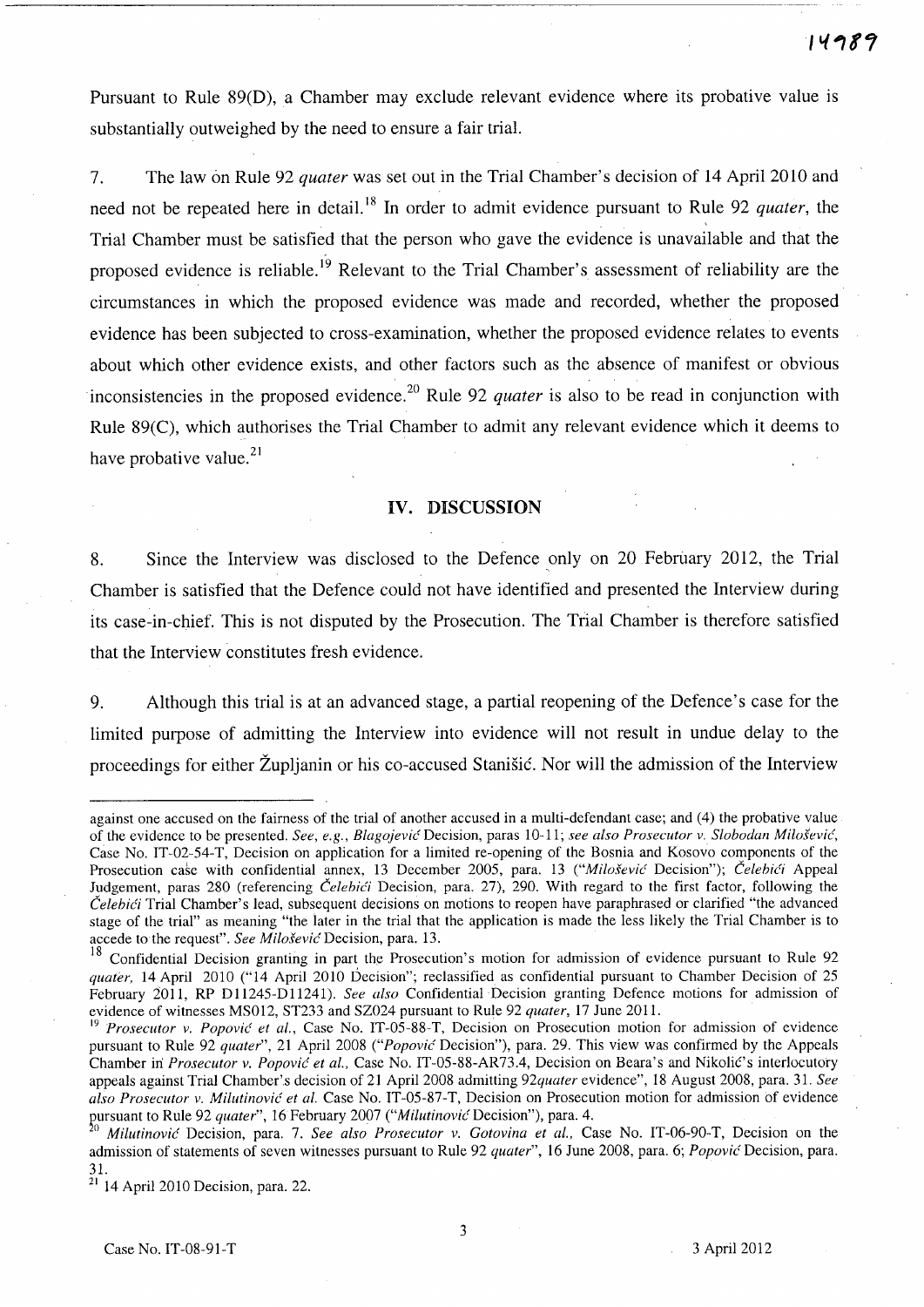Pursuant to Rule 89(D), a Chamber may exclude relevant evidence where its probative value is substantially outweighed by the need to ensure a fair trial.

7. The law on Rule 92 *quater* was set out in the Trial Chamber's decision of 14 April 2010 and need not be repeated here in detail. I8 **In** order to admit evidence pursuant to Rule 92 *quater,* the Trial Chamber must be satisfied that the person who gave the evidence is unavailable and that the proposed evidence is reliable.<sup>19</sup> Relevant to the Trial Chamber's assessment of reliability are the circumstances in which the proposed evidence was made and recorded, whether the proposed evidence has been subjected to cross-examination, whether the proposed evidence relates to events about which other evidence exists, and other factors such as the absence of manifest or obvious inconsistencies in the proposed evidence.<sup>20</sup> Rule 92 *quater* is also to be read in conjunction with Rule 89(C), which authorises the Trial Chamber to admit any relevant evidence which it deems to have probative value. $^{21}$ 

#### **IV. DISCUSSION**

8. Since the Interview was disclosed to the Defence only on 20 February 2012, the Trial Chamber is satisfied that the Defence could not have identified and presented the Interview during its case-in-chief. This is not disputed by the Prosecution. The Trial Chamber is therefore satisfied that the Interview constitutes fresh evidence.

9. Although this trial is at an advanced stage, a partial reopening of the Defence's case for the limited purpose of admitting the Interview into evidence will not result in undue delay to the proceedings for either Zupljanin or his co-accused Stanisic. Nor will the admission of the Interview

against one accused on the fairness of the trial of another accused in a multi-defendant case; and (4) the probative value of the evidence to be presented. *See, e.g., BlagojeviG(* Decision, paras 10-11; *see also Prosecutor v. Slobodan Milosevic,*  Case No. IT-02-54-T, Decision on application for a limited re-opening of the Bosnia and Kosovo components of the Prosecution case with confidential annex, 13 December 2005, para. 13 *("Milošević Decision")*; *Čelebići* Appeal Judgement, paras 280 (referencing *Čelebići* Decision, para. 27), 290. With regard to the first factor, following the *Celebi6* Trial Chamber's lead, subsequent decisions on motions to reopen have paraphrased or clarified "the advanced stage of the trial" as meaning "the later in the trial that the application is made the less likely the Trial Chamber is to accede to the request". *See MilosevicDecision,* para. 13.

<sup>&</sup>lt;sup>18</sup> Confidential Decision granting in part the Prosecution's motion for admission of evidence pursuant to Rule 92 *quater*, 14 April 2010 ("14 April 2010 Decision"; reclassified as confidential pursuant to Chamber Decision of 25 February 2011, RP D11245-D11241). *See also* Confidential Decision granting Defence motions for admission of evidence of witnesses MS012, ST233 and SZ024 pursuant to Rule 92 *quater,* 17 June 2011.

<sup>&</sup>lt;sup>19</sup> Prosecutor v. Popović et al., Case No. IT-05-88-T, Decision on Prosecution motion for admission of evidence pursuant to Rule 92 *quater",* 21 April 2008 *("Popovic* Decision"), para. 29. This view was confirmed by the Appeals Chamber in *Prosecutor v. Popović et al.*, Case No. IT-05-88-AR73.4, Decision on Beara's and Nikolić's interlocutory appeals against Trial Chamber'.s decision of 21 April 2008 admitting *92quater* evidence", 18 August 2008, para. 31. *See*  also Prosecutor v. Milutinović et al. Case No. IT-05-87-T, Decision on Prosecution motion for admission of evidence pursuant to Rule 92 *quater*", 16 February 2007 *("Milutinović* Decision"), para. 4.

o *Milutinovic* Decision, para. 7. *See also Prosecutor v. Gotovina et al.,* Case No. IT-06-90-T, Decision on the admission of statements of seven witnesses pursuant to Rule 92 *quater",* 16 June 2008, para. 6; *Popovic* Decision, para. 31.

 $21$  14 April 2010 Decision, para. 22.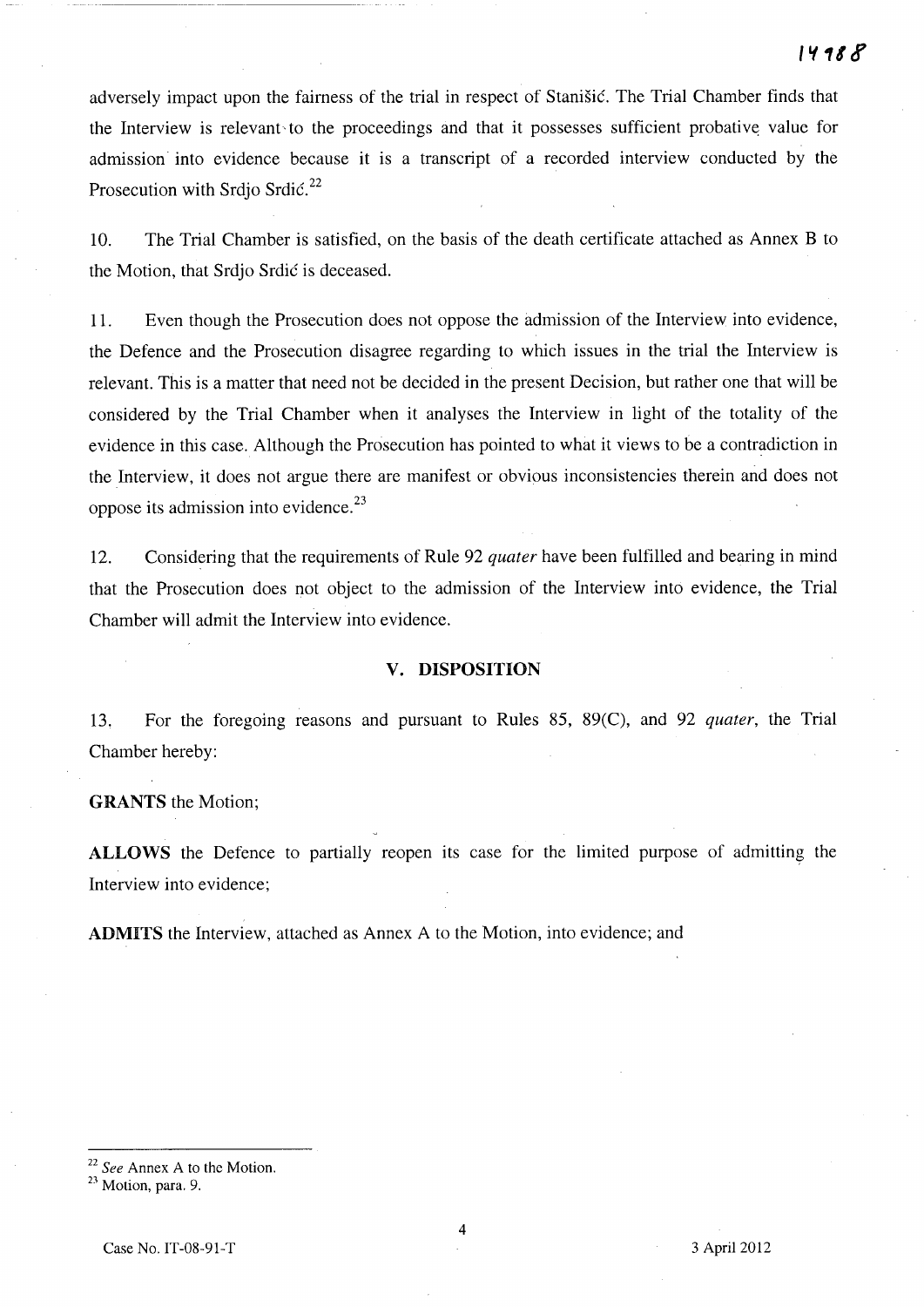adversely impact upon the fairness of the trial in respect of Stanisic. The Trial Chamber finds that the Interview is relevant to the proceedings and that it possesses sufficient probative value for admission into evidence because it is a transcript of a recorded interview conducted by the Prosecution with Srdio Srdić.<sup>22</sup>

10. The Trial Chamber is satisfied, on the basis of the death certificate attached as Annex B to the Motion, that Srdjo Srdic is deceased.

11. Even though the Prosecution does not oppose the admission of the Interview into evidence, the Defence and the Prosecution disagree regarding to which issues in the trial the Interview is relevant. This is a matter that need not be decided in the present Decision, but rather one that will be considered by the Trial Chamber when it analyses the Interview in light of the totality of the evidence in this case. Although the Prosecution has pointed to what it views to be a contradiction in the Interview, it does not argue there are manifest or obvious inconsistencies therein and does not oppose its admission into evidence.23

12. Considering that the requirements of Rule 92 *quater* have been fulfilled and bearing in mind that the Prosecution does not object to the admission of the Interview into evidence, the Trial Chamber will admit the Interview into evidence.

## **v. DISPOSITION**

13. For the foregoing reasons and pursuant to Rules 85, 89(C), and 92 *quater,* the Trial Chamber hereby:

**GRANTS** the Motion;

**ALLOWS** the Defence to partially reopen its case for the limited purpose of admitting the Interview into evidence;

**ADMITS** the Interview, attached as Annex A to the Motion, into evidence; and

<sup>22</sup>*See* Annex A to the Motion.

<sup>&</sup>lt;sup>23</sup> Motion, para. 9.